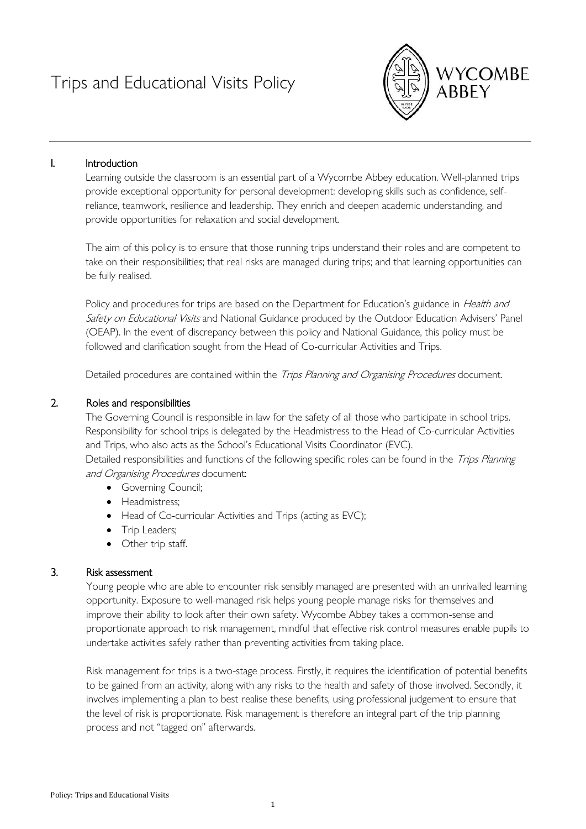# Trips and Educational Visits Policy



## I. Introduction

Learning outside the classroom is an essential part of a Wycombe Abbey education. Well-planned trips provide exceptional opportunity for personal development: developing skills such as confidence, selfreliance, teamwork, resilience and leadership. They enrich and deepen academic understanding, and provide opportunities for relaxation and social development.

The aim of this policy is to ensure that those running trips understand their roles and are competent to take on their responsibilities; that real risks are managed during trips; and that learning opportunities can be fully realised.

Policy and procedures for trips are based on the Department for Education's guidance in *Health and* Safety on Educational Visits and National Guidance produced by the Outdoor Education Advisers' Panel (OEAP). In the event of discrepancy between this policy and National Guidance, this policy must be followed and clarification sought from the Head of Co-curricular Activities and Trips.

Detailed procedures are contained within the Trips Planning and Organising Procedures document.

#### 2. Roles and responsibilities

The Governing Council is responsible in law for the safety of all those who participate in school trips. Responsibility for school trips is delegated by the Headmistress to the Head of Co-curricular Activities and Trips, who also acts as the School's Educational Visits Coordinator (EVC).

Detailed responsibilities and functions of the following specific roles can be found in the Trips Planning and Organising Procedures document:

- Governing Council;
- Headmistress;
- Head of Co-curricular Activities and Trips (acting as EVC);
- Trip Leaders;
- Other trip staff.

#### 3. Risk assessment

Young people who are able to encounter risk sensibly managed are presented with an unrivalled learning opportunity. Exposure to well-managed risk helps young people manage risks for themselves and improve their ability to look after their own safety. Wycombe Abbey takes a common-sense and proportionate approach to risk management, mindful that effective risk control measures enable pupils to undertake activities safely rather than preventing activities from taking place.

Risk management for trips is a two-stage process. Firstly, it requires the identification of potential benefits to be gained from an activity, along with any risks to the health and safety of those involved. Secondly, it involves implementing a plan to best realise these benefits, using professional judgement to ensure that the level of risk is proportionate. Risk management is therefore an integral part of the trip planning process and not "tagged on" afterwards.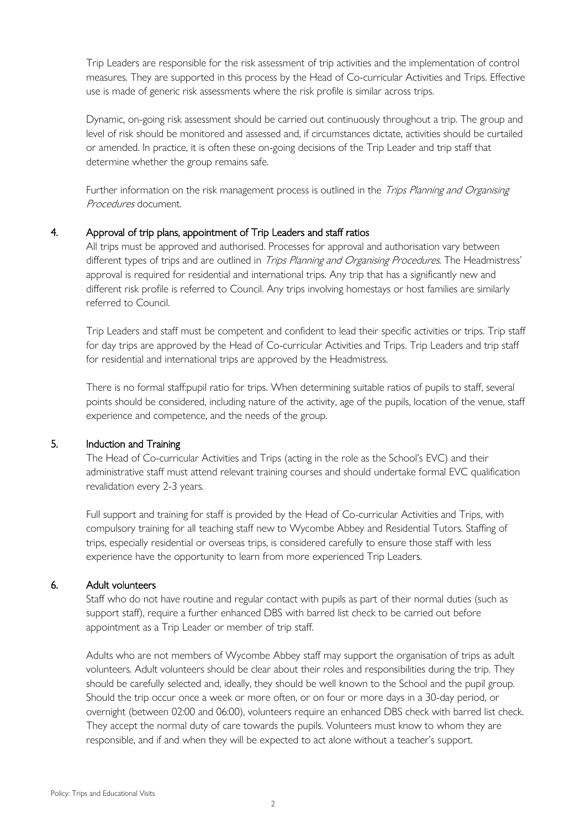Trip Leaders are responsible for the risk assessment of trip activities and the implementation of control measures. They are supported in this process by the Head of Co-curricular Activities and Trips. Effective use is made of generic risk assessments where the risk profile is similar across trips.

Dynamic, on-going risk assessment should be carried out continuously throughout a trip. The group and level of risk should be monitored and assessed and, if circumstances dictate, activities should be curtailed or amended. In practice, it is often these on-going decisions of the Trip Leader and trip staff that determine whether the group remains safe.

Further information on the risk management process is outlined in the Trips Planning and Organising Procedures document.

#### 4. Approval of trip plans, appointment of Trip Leaders and staff ratios

All trips must be approved and authorised. Processes for approval and authorisation vary between different types of trips and are outlined in *Trips Planning and Organising Procedures*. The Headmistress' approval is required for residential and international trips. Any trip that has a significantly new and different risk profile is referred to Council. Any trips involving homestays or host families are similarly referred to Council.

Trip Leaders and staff must be competent and confident to lead their specific activities or trips. Trip staff for day trips are approved by the Head of Co-curricular Activities and Trips. Trip Leaders and trip staff for residential and international trips are approved by the Headmistress.

There is no formal staff:pupil ratio for trips. When determining suitable ratios of pupils to staff, several points should be considered, including nature of the activity, age of the pupils, location of the venue, staff experience and competence, and the needs of the group.

## 5. Induction and Training

The Head of Co-curricular Activities and Trips (acting in the role as the School's EVC) and their administrative staff must attend relevant training courses and should undertake formal EVC qualification revalidation every 2-3 years.

Full support and training for staff is provided by the Head of Co-curricular Activities and Trips, with compulsory training for all teaching staff new to Wycombe Abbey and Residential Tutors. Staffing of trips, especially residential or overseas trips, is considered carefully to ensure those staff with less experience have the opportunity to learn from more experienced Trip Leaders.

## 6. Adult volunteers

Staff who do not have routine and regular contact with pupils as part of their normal duties (such as support staff), require a further enhanced DBS with barred list check to be carried out before appointment as a Trip Leader or member of trip staff.

Adults who are not members of Wycombe Abbey staff may support the organisation of trips as adult volunteers. Adult volunteers should be clear about their roles and responsibilities during the trip. They should be carefully selected and, ideally, they should be well known to the School and the pupil group. Should the trip occur once a week or more often, or on four or more days in a 30-day period, or overnight (between 02:00 and 06:00), volunteers require an enhanced DBS check with barred list check. They accept the normal duty of care towards the pupils. Volunteers must know to whom they are responsible, and if and when they will be expected to act alone without a teacher's support.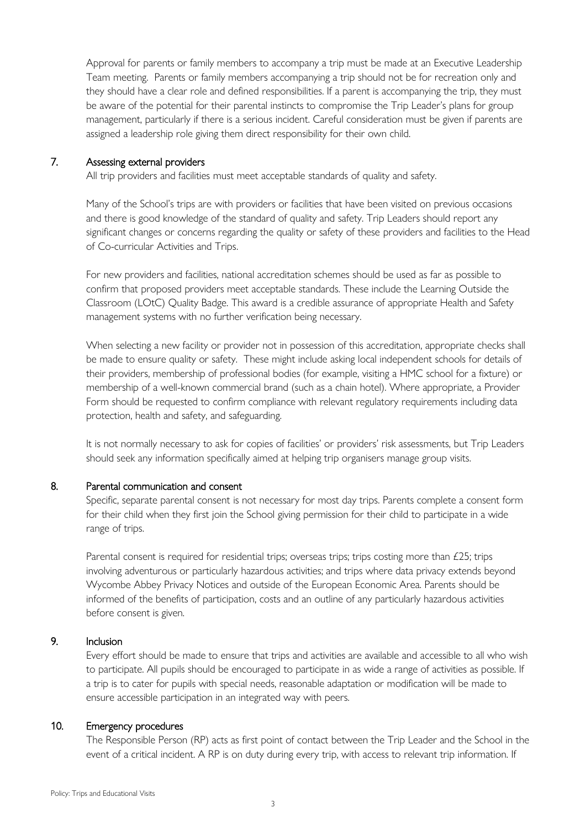Approval for parents or family members to accompany a trip must be made at an Executive Leadership Team meeting. Parents or family members accompanying a trip should not be for recreation only and they should have a clear role and defined responsibilities. If a parent is accompanying the trip, they must be aware of the potential for their parental instincts to compromise the Trip Leader's plans for group management, particularly if there is a serious incident. Careful consideration must be given if parents are assigned a leadership role giving them direct responsibility for their own child.

#### 7. Assessing external providers

All trip providers and facilities must meet acceptable standards of quality and safety.

Many of the School's trips are with providers or facilities that have been visited on previous occasions and there is good knowledge of the standard of quality and safety. Trip Leaders should report any significant changes or concerns regarding the quality or safety of these providers and facilities to the Head of Co-curricular Activities and Trips.

For new providers and facilities, national accreditation schemes should be used as far as possible to confirm that proposed providers meet acceptable standards. These include the Learning Outside the Classroom (LOtC) Quality Badge. This award is a credible assurance of appropriate Health and Safety management systems with no further verification being necessary.

When selecting a new facility or provider not in possession of this accreditation, appropriate checks shall be made to ensure quality or safety. These might include asking local independent schools for details of their providers, membership of professional bodies (for example, visiting a HMC school for a fixture) or membership of a well-known commercial brand (such as a chain hotel). Where appropriate, a Provider Form should be requested to confirm compliance with relevant regulatory requirements including data protection, health and safety, and safeguarding.

It is not normally necessary to ask for copies of facilities' or providers' risk assessments, but Trip Leaders should seek any information specifically aimed at helping trip organisers manage group visits.

## 8. Parental communication and consent

Specific, separate parental consent is not necessary for most day trips. Parents complete a consent form for their child when they first join the School giving permission for their child to participate in a wide range of trips.

Parental consent is required for residential trips; overseas trips; trips costing more than £25; trips involving adventurous or particularly hazardous activities; and trips where data privacy extends beyond Wycombe Abbey Privacy Notices and outside of the European Economic Area. Parents should be informed of the benefits of participation, costs and an outline of any particularly hazardous activities before consent is given.

# 9. Inclusion

Every effort should be made to ensure that trips and activities are available and accessible to all who wish to participate. All pupils should be encouraged to participate in as wide a range of activities as possible. If a trip is to cater for pupils with special needs, reasonable adaptation or modification will be made to ensure accessible participation in an integrated way with peers.

## 10. Emergency procedures

The Responsible Person (RP) acts as first point of contact between the Trip Leader and the School in the event of a critical incident. A RP is on duty during every trip, with access to relevant trip information. If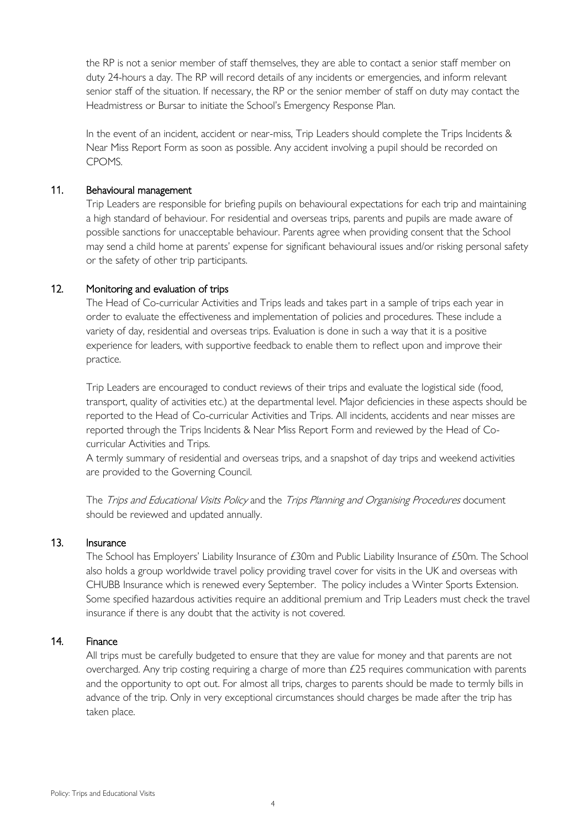the RP is not a senior member of staff themselves, they are able to contact a senior staff member on duty 24-hours a day. The RP will record details of any incidents or emergencies, and inform relevant senior staff of the situation. If necessary, the RP or the senior member of staff on duty may contact the Headmistress or Bursar to initiate the School's Emergency Response Plan.

In the event of an incident, accident or near-miss, Trip Leaders should complete the Trips Incidents & Near Miss Report Form as soon as possible. Any accident involving a pupil should be recorded on CPOMS.

#### 11. Behavioural management

Trip Leaders are responsible for briefing pupils on behavioural expectations for each trip and maintaining a high standard of behaviour. For residential and overseas trips, parents and pupils are made aware of possible sanctions for unacceptable behaviour. Parents agree when providing consent that the School may send a child home at parents' expense for significant behavioural issues and/or risking personal safety or the safety of other trip participants.

## 12. Monitoring and evaluation of trips

The Head of Co-curricular Activities and Trips leads and takes part in a sample of trips each year in order to evaluate the effectiveness and implementation of policies and procedures. These include a variety of day, residential and overseas trips. Evaluation is done in such a way that it is a positive experience for leaders, with supportive feedback to enable them to reflect upon and improve their practice.

Trip Leaders are encouraged to conduct reviews of their trips and evaluate the logistical side (food, transport, quality of activities etc.) at the departmental level. Major deficiencies in these aspects should be reported to the Head of Co-curricular Activities and Trips. All incidents, accidents and near misses are reported through the Trips Incidents & Near Miss Report Form and reviewed by the Head of Cocurricular Activities and Trips.

A termly summary of residential and overseas trips, and a snapshot of day trips and weekend activities are provided to the Governing Council.

The Trips and Educational Visits Policy and the Trips Planning and Organising Procedures document should be reviewed and updated annually.

#### 13. Insurance

The School has Employers' Liability Insurance of £30m and Public Liability Insurance of £50m. The School also holds a group worldwide travel policy providing travel cover for visits in the UK and overseas with CHUBB Insurance which is renewed every September. The policy includes a Winter Sports Extension. Some specified hazardous activities require an additional premium and Trip Leaders must check the travel insurance if there is any doubt that the activity is not covered.

# 14. Finance

All trips must be carefully budgeted to ensure that they are value for money and that parents are not overcharged. Any trip costing requiring a charge of more than £25 requires communication with parents and the opportunity to opt out. For almost all trips, charges to parents should be made to termly bills in advance of the trip. Only in very exceptional circumstances should charges be made after the trip has taken place.